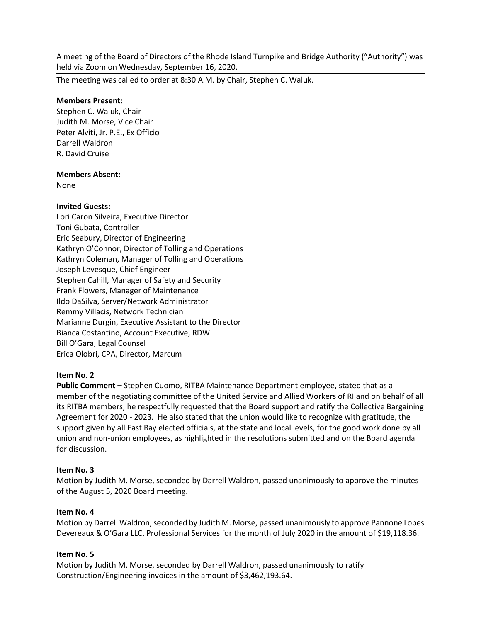A meeting of the Board of Directors of the Rhode Island Turnpike and Bridge Authority ("Authority") was held via Zoom on Wednesday, September 16, 2020.

The meeting was called to order at 8:30 A.M. by Chair, Stephen C. Waluk.

## **Members Present:**

Stephen C. Waluk, Chair Judith M. Morse, Vice Chair Peter Alviti, Jr. P.E., Ex Officio Darrell Waldron R. David Cruise

## **Members Absent:**

None

# **Invited Guests:**

Lori Caron Silveira, Executive Director Toni Gubata, Controller Eric Seabury, Director of Engineering Kathryn O'Connor, Director of Tolling and Operations Kathryn Coleman, Manager of Tolling and Operations Joseph Levesque, Chief Engineer Stephen Cahill, Manager of Safety and Security Frank Flowers, Manager of Maintenance Ildo DaSilva, Server/Network Administrator Remmy Villacis, Network Technician Marianne Durgin, Executive Assistant to the Director Bianca Costantino, Account Executive, RDW Bill O'Gara, Legal Counsel Erica Olobri, CPA, Director, Marcum

# **Item No. 2**

**Public Comment –** Stephen Cuomo, RITBA Maintenance Department employee, stated that as a member of the negotiating committee of the United Service and Allied Workers of RI and on behalf of all its RITBA members, he respectfully requested that the Board support and ratify the Collective Bargaining Agreement for 2020 - 2023. He also stated that the union would like to recognize with gratitude, the support given by all East Bay elected officials, at the state and local levels, for the good work done by all union and non-union employees, as highlighted in the resolutions submitted and on the Board agenda for discussion.

#### **Item No. 3**

Motion by Judith M. Morse, seconded by Darrell Waldron, passed unanimously to approve the minutes of the August 5, 2020 Board meeting.

#### **Item No. 4**

Motion by Darrell Waldron, seconded by Judith M. Morse, passed unanimously to approve Pannone Lopes Devereaux & O'Gara LLC, Professional Services for the month of July 2020 in the amount of \$19,118.36.

#### **Item No. 5**

Motion by Judith M. Morse, seconded by Darrell Waldron, passed unanimously to ratify Construction/Engineering invoices in the amount of \$3,462,193.64.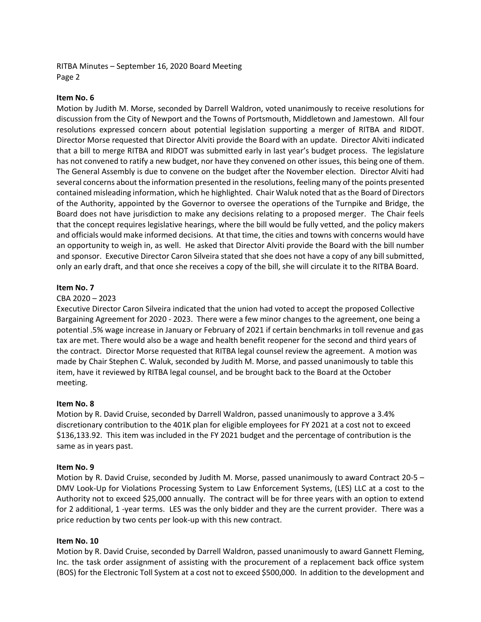RITBA Minutes – September 16, 2020 Board Meeting Page 2

## **Item No. 6**

Motion by Judith M. Morse, seconded by Darrell Waldron, voted unanimously to receive resolutions for discussion from the City of Newport and the Towns of Portsmouth, Middletown and Jamestown. All four resolutions expressed concern about potential legislation supporting a merger of RITBA and RIDOT. Director Morse requested that Director Alviti provide the Board with an update. Director Alviti indicated that a bill to merge RITBA and RIDOT was submitted early in last year's budget process. The legislature has not convened to ratify a new budget, nor have they convened on other issues, this being one of them. The General Assembly is due to convene on the budget after the November election. Director Alviti had several concerns about the information presented in the resolutions, feeling many of the points presented contained misleading information, which he highlighted. Chair Waluk noted that as the Board of Directors of the Authority, appointed by the Governor to oversee the operations of the Turnpike and Bridge, the Board does not have jurisdiction to make any decisions relating to a proposed merger. The Chair feels that the concept requires legislative hearings, where the bill would be fully vetted, and the policy makers and officials would make informed decisions. At that time, the cities and towns with concerns would have an opportunity to weigh in, as well. He asked that Director Alviti provide the Board with the bill number and sponsor. Executive Director Caron Silveira stated that she does not have a copy of any bill submitted, only an early draft, and that once she receives a copy of the bill, she will circulate it to the RITBA Board.

## **Item No. 7**

#### CBA 2020 – 2023

Executive Director Caron Silveira indicated that the union had voted to accept the proposed Collective Bargaining Agreement for 2020 - 2023. There were a few minor changes to the agreement, one being a potential .5% wage increase in January or February of 2021 if certain benchmarks in toll revenue and gas tax are met. There would also be a wage and health benefit reopener for the second and third years of the contract. Director Morse requested that RITBA legal counsel review the agreement. A motion was made by Chair Stephen C. Waluk, seconded by Judith M. Morse, and passed unanimously to table this item, have it reviewed by RITBA legal counsel, and be brought back to the Board at the October meeting.

#### **Item No. 8**

Motion by R. David Cruise, seconded by Darrell Waldron, passed unanimously to approve a 3.4% discretionary contribution to the 401K plan for eligible employees for FY 2021 at a cost not to exceed \$136,133.92. This item was included in the FY 2021 budget and the percentage of contribution is the same as in years past.

#### **Item No. 9**

Motion by R. David Cruise, seconded by Judith M. Morse, passed unanimously to award Contract 20-5 – DMV Look-Up for Violations Processing System to Law Enforcement Systems, (LES) LLC at a cost to the Authority not to exceed \$25,000 annually. The contract will be for three years with an option to extend for 2 additional, 1 -year terms. LES was the only bidder and they are the current provider. There was a price reduction by two cents per look-up with this new contract.

#### **Item No. 10**

Motion by R. David Cruise, seconded by Darrell Waldron, passed unanimously to award Gannett Fleming, Inc. the task order assignment of assisting with the procurement of a replacement back office system (BOS) for the Electronic Toll System at a cost not to exceed \$500,000. In addition to the development and